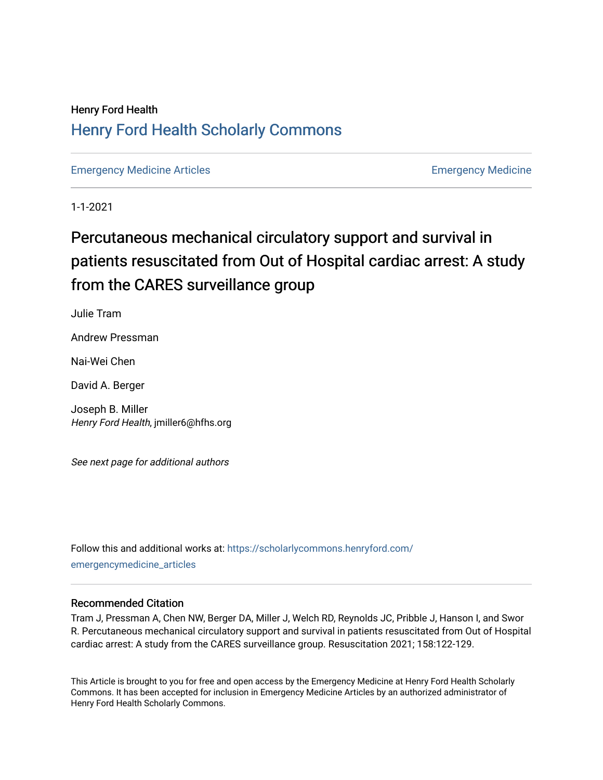## Henry Ford Health [Henry Ford Health Scholarly Commons](https://scholarlycommons.henryford.com/)

[Emergency Medicine Articles](https://scholarlycommons.henryford.com/emergencymedicine_articles) **Emergency Medicine** 

1-1-2021

# Percutaneous mechanical circulatory support and survival in patients resuscitated from Out of Hospital cardiac arrest: A study from the CARES surveillance group

Julie Tram

Andrew Pressman

Nai-Wei Chen

David A. Berger

Joseph B. Miller Henry Ford Health, jmiller6@hfhs.org

See next page for additional authors

Follow this and additional works at: [https://scholarlycommons.henryford.com/](https://scholarlycommons.henryford.com/emergencymedicine_articles?utm_source=scholarlycommons.henryford.com%2Femergencymedicine_articles%2F211&utm_medium=PDF&utm_campaign=PDFCoverPages) [emergencymedicine\\_articles](https://scholarlycommons.henryford.com/emergencymedicine_articles?utm_source=scholarlycommons.henryford.com%2Femergencymedicine_articles%2F211&utm_medium=PDF&utm_campaign=PDFCoverPages) 

## Recommended Citation

Tram J, Pressman A, Chen NW, Berger DA, Miller J, Welch RD, Reynolds JC, Pribble J, Hanson I, and Swor R. Percutaneous mechanical circulatory support and survival in patients resuscitated from Out of Hospital cardiac arrest: A study from the CARES surveillance group. Resuscitation 2021; 158:122-129.

This Article is brought to you for free and open access by the Emergency Medicine at Henry Ford Health Scholarly Commons. It has been accepted for inclusion in Emergency Medicine Articles by an authorized administrator of Henry Ford Health Scholarly Commons.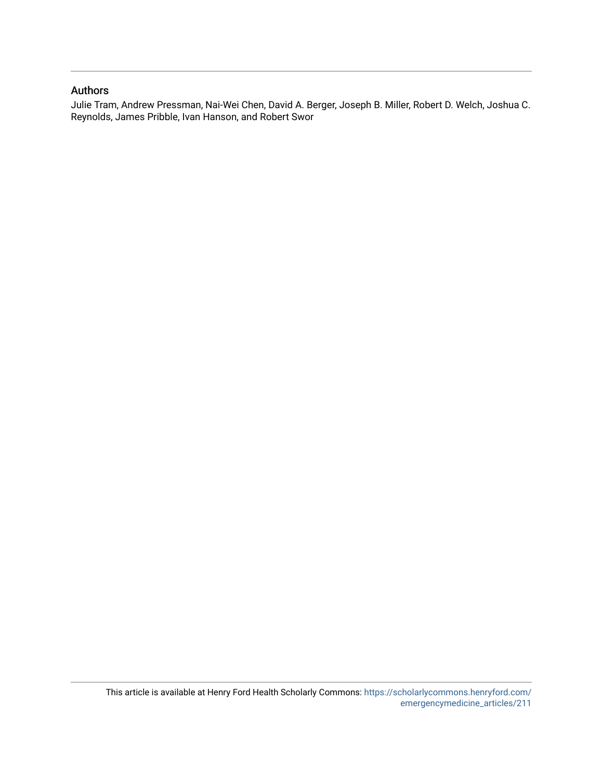## Authors

Julie Tram, Andrew Pressman, Nai-Wei Chen, David A. Berger, Joseph B. Miller, Robert D. Welch, Joshua C. Reynolds, James Pribble, Ivan Hanson, and Robert Swor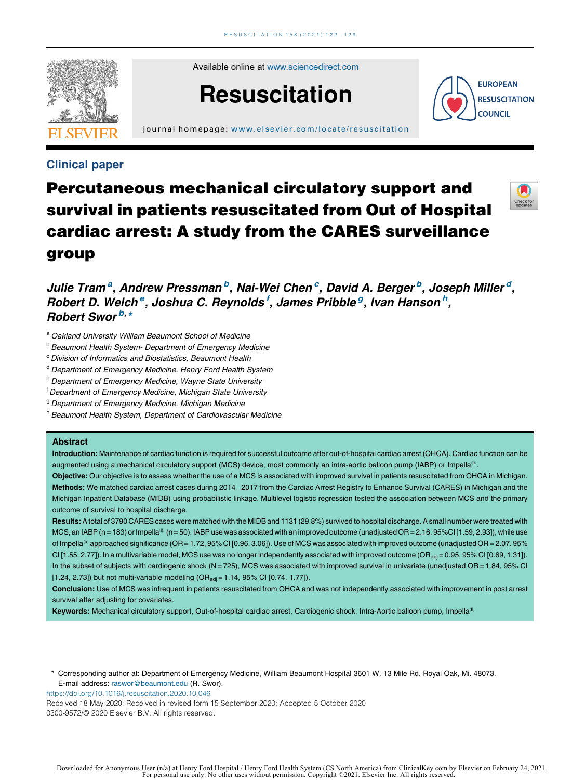

Available online at [www.sciencedirect.com](http://www.sciencedirect.com/science/journal/03009572)

# **Resuscitation**

journal homepage: [www.elsevier.com/locate/resus c](www.elsevier.com/locate/resuscitation) itation



Check fo

## Clinical paper

# Percutaneous mechanical circulatory support and survival in patients resuscitated from Out of Hospital cardiac arrest: A study from the CARES surveillance group

Julie Tram<sup>a</sup>, Andrew Pressman<sup>b</sup>, Nai-Wei Chen<sup>c</sup>, David A. Berger<sup>b</sup>, Joseph Miller<sup>d</sup>, Robert D. Welch<sup>e</sup>, Joshua C. Reynolds<sup>f</sup>, James Pribble<sup>g</sup>, Ivan Hanson<sup>h</sup>, Robert Swor<sup>b,\*</sup>

- a Oakland University William Beaumont School of Medicine
- **b Beaumont Health System- Department of Emergency Medicine**
- <sup>c</sup> Division of Informatics and Biostatistics, Beaumont Health
- <sup>d</sup> Department of Emergency Medicine, Henry Ford Health System
- <sup>e</sup> Department of Emergency Medicine, Wayne State University
- f Department of Emergency Medicine, Michigan State University
- <sup>9</sup> Department of Emergency Medicine, Michigan Medicine
- h Beaumont Health System, Department of Cardiovascular Medicine

#### Abstract

Introduction: Maintenance of cardiac function is required for successful outcome after out-of-hospital cardiac arrest (OHCA). Cardiac function can be augmented using a mechanical circulatory support (MCS) device, most commonly an intra-aortic balloon pump (IABP) or Impella<sup>®</sup>.

Objective: Our objective is to assess whether the use of a MCS is associated with improved survival in patients resuscitated from OHCA in Michigan. Methods: We matched cardiac arrest cases during 2014-2017 from the Cardiac Arrest Registry to Enhance Survival (CARES) in Michigan and the Michigan Inpatient Database (MIDB) using probabilistic linkage. Multilevel logistic regression tested the association between MCS and the primary outcome of survival to hospital discharge.

Results: A total of 3790 CARES cases were matched with the MIDB and 1131 (29.8%) survived to hospital discharge. A small number were treated with MCS, an IABP (n = 183) or Impella<sup>®</sup> (n = 50). IABP use was associated with an improved outcome (unadjusted OR = 2.16, 95%CI [1.59, 2.93]), while use of Impella<sup>®</sup> approached significance (OR = 1.72, 95% CI [0.96, 3.06]). Use of MCS was associated with improved outcome (unadjusted OR = 2.07, 95%  $C[1.55, 2.77]$ . In a multivariable model, MCS use was no longer independently associated with improved outcome (OR<sub>adj</sub> = 0.95, 95% CI [0.69, 1.31]). In the subset of subjects with cardiogenic shock (N = 725), MCS was associated with improved survival in univariate (unadjusted  $OR = 1.84$ , 95% CI [1.24, 2.73]) but not multi-variable modeling  $(OR_{\text{adi}} = 1.14, 95\% \text{ Cl} [0.74, 1.77])$ .

Conclusion: Use of MCS was infrequent in patients resuscitated from OHCA and was not independently associated with improvement in post arrest survival after adjusting for covariates.

Keywords: Mechanical circulatory support, Out-of-hospital cardiac arrest, Cardiogenic shock, Intra-Aortic balloon pump, Impella<sup>®</sup>

\* Corresponding author at: Department of Emergency Medicine, William Beaumont Hospital 3601 W. 13 Mile Rd, Royal Oak, Mi. 48073. E-mail address: [raswor@beaumont.edu](mailto:raswor@beaumont.edu) (R. Swor).

<https://doi.org/10.1016/j.resuscitation.2020.10.046>

Received 18 May 2020; Received in revised form 15 September 2020; Accepted 5 October 2020 0300-9572/© 2020 Elsevier B.V. All rights reserved.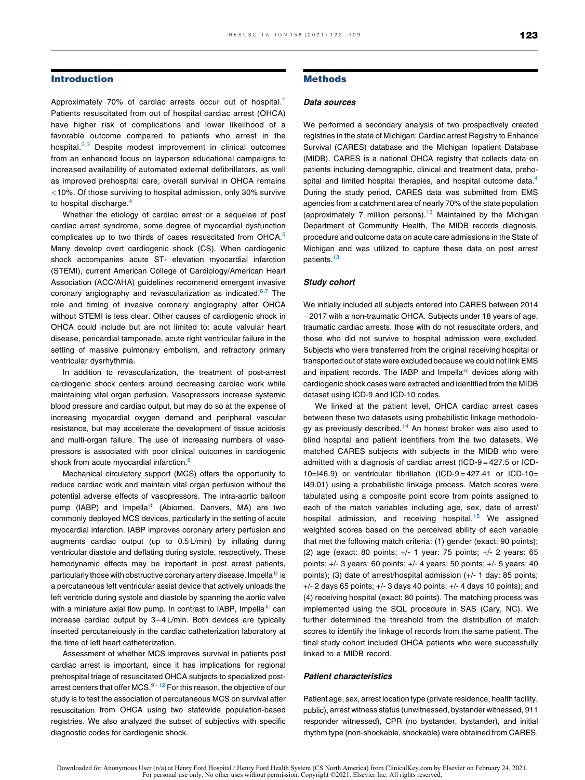#### Introduction

Approximately 70% of cardiac arrests occur out of hospital.<sup>[1](#page-7-0)</sup> Patients resuscitated from out of hospital cardiac arrest (OHCA) have higher risk of complications and lower likelihood of a favorable outcome compared to patients who arrest in the hospital.<sup>2,3</sup> Despite modest [improvement](#page-8-0) in clinical outcomes from an enhanced focus on layperson educational campaigns to increased availability of automated external defibrillators, as well as improved prehospital care, overall survival in OHCA remains <10%. Of those surviving to hospital admission, only 30% survive to hospital discharge.<sup>[4](#page-8-0)</sup>

Whether the etiology of cardiac arrest or a sequelae of post cardiac arrest syndrome, some degree of myocardial dysfunction complicates up to two thirds of cases resuscitated from OHCA.<sup>[5](#page-8-0)</sup> Many develop overt cardiogenic shock (CS). When cardiogenic shock accompanies acute ST- elevation myocardial infarction (STEMI), current American College of Cardiology/American Heart Association (ACC/AHA) guidelines recommend emergent invasive coronary angiography and revascularization as indicated.<sup>6,7</sup> [The](#page-8-0) role and timing of invasive coronary angiography after OHCA without STEMI is less clear. Other causes of cardiogenic shock in OHCA could include but are not limited to: acute valvular heart disease, pericardial tamponade, acute right ventricular failure in the setting of massive pulmonary embolism, and refractory primary ventricular dysrhythmia.

In addition to revascularization, the treatment of post-arrest cardiogenic shock centers around decreasing cardiac work while maintaining vital organ perfusion. Vasopressors increase systemic blood pressure and cardiac output, but may do so at the expense of increasing myocardial oxygen demand and peripheral vascular resistance, but may accelerate the development of tissue acidosis and multi-organ failure. The use of increasing numbers of vasopressors is associated with poor clinical outcomes in cardiogenic shock from acute myocardial infarction.<sup>[8](#page-8-0)</sup>

Mechanical circulatory support (MCS) offers the opportunity to reduce cardiac work and maintain vital organ perfusion without the potential adverse effects of vasopressors. The intra-aortic balloon pump (IABP) and Impella<sup>®</sup> (Abiomed, Danvers, MA) are two commonly deployed MCS devices, particularly in the setting of acute myocardial infarction. IABP improves coronary artery perfusion and augments cardiac output (up to 0.5 L/min) by inflating during ventricular diastole and deflating during systole, respectively. These hemodynamic effects may be important in post arrest patients, particularly those with obstructive coronary artery disease. Impella $^{\circledR}$  is a percutaneous left ventricular assist device that actively unloads the left ventricle during systole and diastole by spanning the aortic valve with a miniature axial flow pump. In contrast to IABP, Impella<sup>®</sup> can increase cardiac output by  $3-4$  L/min. Both devices are typically inserted percutaneiously in the cardiac catheterization laboratory at the time of left heart catheterization.

Assessment of whether MCS improves survival in patients post cardiac arrest is important, since it has implications for regional prehospital triage of resuscitated OHCA subjects to specialized postarrest centers that offer MCS. $9-12$  For this reason, the [objective](#page-8-0) of our study is to test the association of percutaneous MCS on survival after resuscitation from OHCA using two statewide population-based registries. We also analyzed the subset of subjectivs with specific diagnostic codes for cardiogenic shock.

#### Methods

#### Data sources

We performed a secondary analysis of two prospectively created registries in the state of Michigan: Cardiac arrest Registry to Enhance Survival (CARES) database and the Michigan Inpatient Database (MIDB). CARES is a national OHCA registry that collects data on patients including demographic, clinical and treatment data, prehospital and limited hospital therapies, and hospital outcome data.<sup>4</sup> During the study period, CARES data was submitted from EMS agencies from a catchment area of nearly 70% of the state population (approximately 7 million persons). $13$  Maintained by the Michigan Department of Community Health, The MIDB records diagnosis, procedure and outcome data on acute care admissions in the State of Michigan and was utilized to capture these data on post arrest patients.<sup>13</sup>

#### Study cohort

We initially included all subjects entered into CARES between 2014 2017 with a non-traumatic OHCA. Subjects under 18 years of age, traumatic cardiac arrests, those with do not resuscitate orders, and those who did not survive to hospital admission were excluded. Subjects who were transferred from the original receiving hospital or transported out of state were excluded because we could not link EMS and inpatient records. The IABP and Impella $@$  devices along with cardiogenic shock cases were extracted and identified from the MIDB dataset using ICD-9 and ICD-10 codes.

We linked at the patient level, OHCA cardiac arrest cases between these two datasets using probabilistic linkage methodolo-gy as previously described.<sup>[14](#page-8-0)</sup> An honest broker was also used to blind hospital and patient identifiers from the two datasets. We matched CARES subjects with subjects in the MIDB who were admitted with a diagnosis of cardiac arrest (ICD-9 = 427.5 or ICD-10=I46.9) or ventricular fibrillation (ICD-9 = 427.41 or ICD-10= I49.01) using a probabilistic linkage process. Match scores were tabulated using a composite point score from points assigned to each of the match variables including age, sex, date of arrest/ hospital admission, and receiving hospital.<sup>[15](#page-8-0)</sup> We assigned weighted scores based on the perceived ability of each variable that met the following match criteria: (1) gender (exact: 90 points); (2) age (exact: 80 points; +/- 1 year: 75 points; +/- 2 years: 65 points; +/- 3 years: 60 points; +/- 4 years: 50 points; +/- 5 years: 40 points); (3) date of arrest/hospital admission (+/- 1 day: 85 points; +/- 2 days 65 points; +/- 3 days 40 points; +/- 4 days 10 points); and (4) receiving hospital (exact: 80 points). The matching process was implemented using the SQL procedure in SAS (Cary, NC). We further determined the threshold from the distribution of match scores to identify the linkage of records from the same patient. The final study cohort included OHCA patients who were successfully linked to a MIDB record.

#### Patient characteristics

Patient age, sex, arrest location type (private residence, health facility, public), arrest witness status (unwitnessed, bystander witnessed, 911 responder witnessed), CPR (no bystander, bystander), and initial rhythm type (non-shockable, shockable) were obtained from CARES.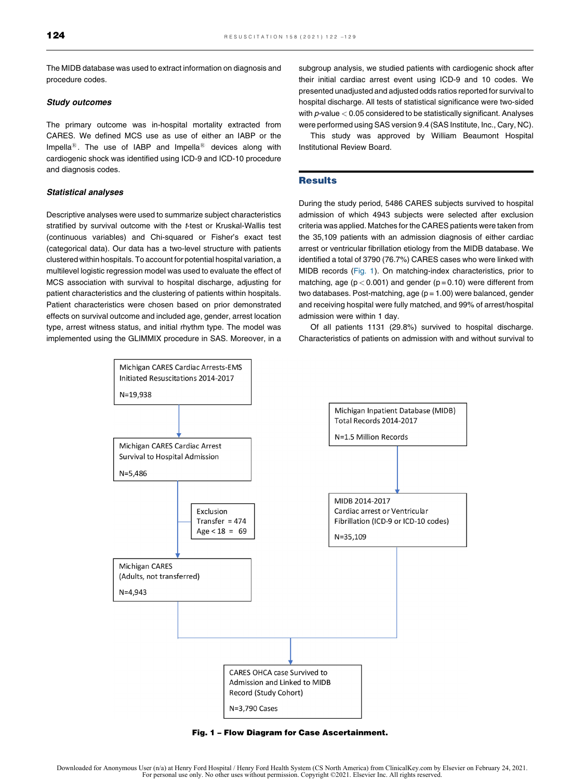The MIDB database was used to extract information on diagnosis and procedure codes.

#### Study outcomes

The primary outcome was in-hospital mortality extracted from CARES. We defined MCS use as use of either an IABP or the Impella<sup>®</sup>. The use of IABP and Impella<sup>®</sup> devices along with cardiogenic shock was identified using ICD-9 and ICD-10 procedure and diagnosis codes.

#### Statistical analyses

Descriptive analyses were used to summarize subject characteristics stratified by survival outcome with the t-test or Kruskal-Wallis test (continuous variables) and Chi-squared or Fisher's exact test (categorical data). Our data has a two-level structure with patients clustered within hospitals. To account for potential hospital variation, a multilevel logistic regression model was used to evaluate the effect of MCS association with survival to hospital discharge, adjusting for patient characteristics and the clustering of patients within hospitals. Patient characteristics were chosen based on prior demonstrated effects on survival outcome and included age, gender, arrest location type, arrest witness status, and initial rhythm type. The model was implemented using the GLIMMIX procedure in SAS. Moreover, in a subgroup analysis, we studied patients with cardiogenic shock after their initial cardiac arrest event using ICD-9 and 10 codes. We presented unadjusted and adjusted odds ratios reported for survival to hospital discharge. All tests of statistical significance were two-sided with  $p$ -value  $< 0.05$  considered to be statistically significant. Analyses were performed using SAS version 9.4 (SAS Institute, Inc., Cary, NC).

This study was approved by William Beaumont Hospital Institutional Review Board.

#### **Results**

During the study period, 5486 CARES subjects survived to hospital admission of which 4943 subjects were selected after exclusion criteria was applied. Matches for the CARES patients were taken from the 35,109 patients with an admission diagnosis of either cardiac arrest or ventricular fibrillation etiology from the MIDB database. We identified a total of 3790 (76.7%) CARES cases who were linked with MIDB records (Fig. 1). On matching-index characteristics, prior to matching, age ( $p < 0.001$ ) and gender ( $p = 0.10$ ) were different from two databases. Post-matching, age (p = 1.00) were balanced, gender and receiving hospital were fully matched, and 99% of arrest/hospital admission were within 1 day.

Of all patients 1131 (29.8%) survived to hospital discharge. Characteristics of patients on admission with and without survival to



Fig. 1 – Flow Diagram for Case Ascertainment.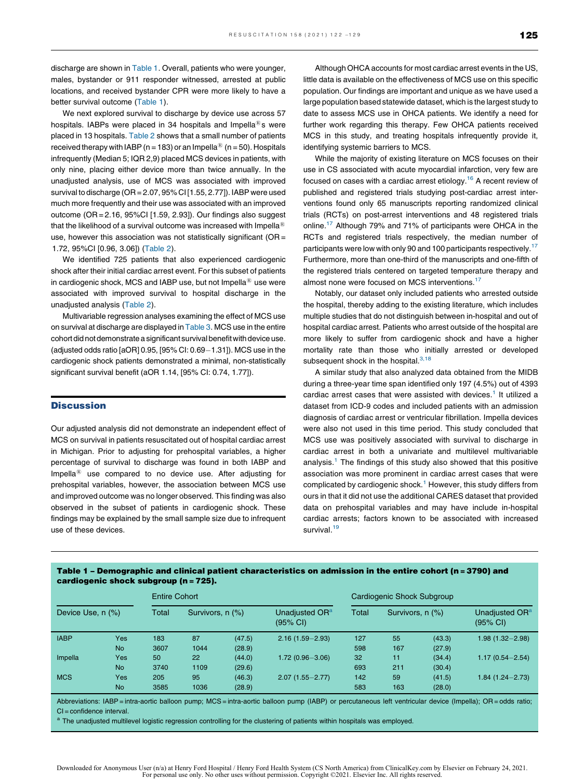discharge are shown in Table 1. Overall, patients who were younger, males, bystander or 911 responder witnessed, arrested at public locations, and received bystander CPR were more likely to have a better survival outcome (Table 1).

We next explored survival to discharge by device use across 57 hospitals. IABPs were placed in 34 hospitals and Impella<sup>®</sup>s were placed in 13 hospitals. [Table](#page-6-0) 2 shows that a small number of patients received therapy with IABP (n = 183) or an Impella<sup>®</sup> (n = 50). Hospitals infrequently (Median 5; IQR 2,9) placed MCS devices in patients, with only nine, placing either device more than twice annually. In the unadjusted analysis, use of MCS was associated with improved survival to discharge (OR = 2.07, 95%CI [1.55, 2.77]). IABP were used much more frequently and their use was associated with an improved outcome (OR = 2.16, 95%CI [1.59, 2.93]). Our findings also suggest that the likelihood of a survival outcome was increased with Impella $^{\circledR}$ use, however this association was not statistically significant ( $OR =$ 1.72, 95%CI [0.96, 3.06]) [\(Table](#page-6-0) 2).

We identified 725 patients that also experienced cardiogenic shock after their initial cardiac arrest event. For this subset of patients in cardiogenic shock, MCS and IABP use, but not Impella $^{\circledR}$  use were associated with improved survival to hospital discharge in the unadjusted analysis [\(Table](#page-6-0) 2).

Multivariable regression analyses examining the effect of MCS use on survival at discharge are displayed in [Table](#page-7-0) 3. MCS use in the entire cohort did not demonstrate a significant survival benefit with device use. (adjusted odds ratio  $[aOR]$  0.95,  $[95%$  CI: 0.69 $-1.31$ ). MCS use in the cardiogenic shock patients demonstrated a minimal, non-statistically significant survival benefit (aOR 1.14, [95% CI: 0.74, 1.77]).

#### **Discussion**

Our adjusted analysis did not demonstrate an independent effect of MCS on survival in patients resuscitated out of hospital cardiac arrest in Michigan. Prior to adjusting for prehospital variables, a higher percentage of survival to discharge was found in both IABP and Impella $<sup>18</sup>$  use compared to no device use. After adjusting for</sup> prehospital variables, however, the association between MCS use and improved outcome was no longer observed. This finding was also observed in the subset of patients in cardiogenic shock. These findings may be explained by the small sample size due to infrequent use of these devices.

Although OHCA accounts for most cardiac arrest events in the US, little data is available on the effectiveness of MCS use on this specific population. Our findings are important and unique as we have used a large population based statewide dataset, which is the largest study to date to assess MCS use in OHCA patients. We identify a need for further work regarding this therapy. Few OHCA patients received MCS in this study, and treating hospitals infrequently provide it. identifying systemic barriers to MCS.

While the majority of existing literature on MCS focuses on their use in CS associated with acute myocardial infarction, very few are focused on cases with a cardiac arrest etiology.<sup>[16](#page-8-0)</sup> A recent review of published and registered trials studying post-cardiac arrest interventions found only 65 manuscripts reporting randomized clinical trials (RCTs) on post-arrest interventions and 48 registered trials online[.17](#page-8-0) Although 79% and 71% of participants were OHCA in the RCTs and registered trials respectively, the median number of participants were low with only 90 and 100 participants respectively.<sup>[17](#page-8-0)</sup> Furthermore, more than one-third of the manuscripts and one-fifth of the registered trials centered on targeted temperature therapy and almost none were focused on MCS interventions.<sup>[17](#page-8-0)</sup>

Notably, our dataset only included patients who arrested outside the hospital, thereby adding to the existing literature, which includes multiple studies that do not distinguish between in-hospital and out of hospital cardiac arrest. Patients who arrest outside of the hospital are more likely to suffer from cardiogenic shock and have a higher mortality rate than those who initially arrested or developed subsequent shock in the hospital. $3,18$ 

A similar study that also analyzed data obtained from the MIDB during a three-year time span identified only 197 (4.5%) out of 4393 cardiac arrest cases that were assisted with devices.<sup>[1](#page-7-0)</sup> It utilized a dataset from ICD-9 codes and included patients with an admission diagnosis of cardiac arrest or ventricular fibrillation. Impella devices were also not used in this time period. This study concluded that MCS use was positively associated with survival to discharge in cardiac arrest in both a univariate and multilevel multivariable analysis.<sup>[1](#page-7-0)</sup> The findings of this study also showed that this positive association was more prominent in cardiac arrest cases that were complicated by cardiogenic shock.<sup>[1](#page-7-0)</sup> However, this study differs from ours in that it did not use the additional CARES dataset that provided data on prehospital variables and may have include in-hospital cardiac arrests; factors known to be associated with increased survival.<sup>[19](#page-8-0)</sup>

| cardiogenic shock subgroup (n = 725). |            | <b>Entire Cohort</b> |                  |        |                                        | Cardiogenic Shock Subgroup |                  |        |                                                  |  |  |  |
|---------------------------------------|------------|----------------------|------------------|--------|----------------------------------------|----------------------------|------------------|--------|--------------------------------------------------|--|--|--|
| Device Use, n (%)                     |            | Total                | Survivors, n (%) |        | Unadjusted OR <sup>a</sup><br>(95% CI) | Total                      | Survivors, n (%) |        | Unadjusted OR <sup>a</sup><br>$(95% \text{ Cl})$ |  |  |  |
| <b>IABP</b>                           | <b>Yes</b> | 183                  | 87               | (47.5) | $2.16(1.59 - 2.93)$                    | 127                        | 55               | (43.3) | $1.98(1.32 - 2.98)$                              |  |  |  |
|                                       | <b>No</b>  | 3607                 | 1044             | (28.9) |                                        | 598                        | 167              | (27.9) |                                                  |  |  |  |
| Impella                               | Yes        | 50                   | 22               | (44.0) | $1.72(0.96 - 3.06)$                    | 32                         | 11               | (34.4) | $1.17(0.54 - 2.54)$                              |  |  |  |
|                                       | <b>No</b>  | 3740                 | 1109             | (29.6) |                                        | 693                        | 211              | (30.4) |                                                  |  |  |  |
| <b>MCS</b>                            | Yes        | 205                  | 95               | (46.3) | $2.07(1.55 - 2.77)$                    | 142                        | 59               | (41.5) | $1.84(1.24 - 2.73)$                              |  |  |  |
|                                       | <b>No</b>  | 3585                 | 1036             | (28.9) |                                        | 583                        | 163              | (28.0) |                                                  |  |  |  |

Table 1 – Demographic and clinical patient characteristics on admission in the entire cohort (n =3790) and cardiogenic shock subgroup (n =725).

Abbreviations: IABP = intra-aortic balloon pump; MCS = intra-aortic balloon pump (IABP) or percutaneous left ventricular device (Impella); OR = odds ratio; CI = confidence interval.

<sup>a</sup> The unadjusted multilevel logistic regression controlling for the clustering of patients within hospitals was employed.

Downloaded for Anonymous User (n/a) at Henry Ford Hospital / Henry Ford Health System (CS North America) from ClinicalKey.com by Elsevier on February 24, 2021.<br>For personal use only. No other uses without permission. Copyr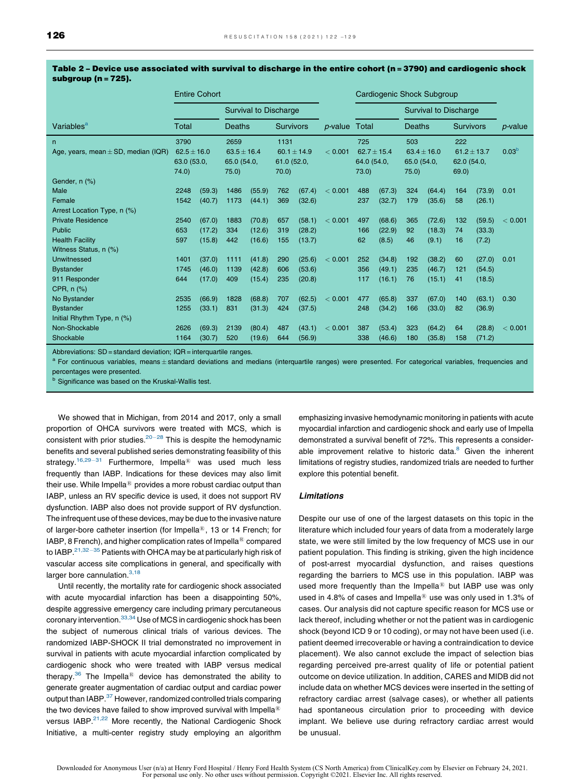|                                              | <b>Entire Cohort</b>                           |        |                                                |        |                                                |        | Cardiogenic Shock Subgroup |                                             |                              |                                               |        |                                               |        |                   |
|----------------------------------------------|------------------------------------------------|--------|------------------------------------------------|--------|------------------------------------------------|--------|----------------------------|---------------------------------------------|------------------------------|-----------------------------------------------|--------|-----------------------------------------------|--------|-------------------|
|                                              |                                                |        | <b>Survival to Discharge</b>                   |        |                                                |        |                            |                                             | <b>Survival to Discharge</b> |                                               |        |                                               |        |                   |
| Variables <sup>a</sup>                       | Total                                          |        | <b>Deaths</b>                                  |        | <b>Survivors</b>                               |        | $p$ -value                 | Total                                       |                              | <b>Deaths</b>                                 |        | <b>Survivors</b>                              |        | $p$ -value        |
| n<br>Age, years, mean $\pm$ SD, median (IQR) | 3790<br>$62.5 \pm 16.0$<br>63.0 (53.0,<br>74.0 |        | 2659<br>$63.5 \pm 16.4$<br>65.0 (54.0,<br>75.0 |        | 1131<br>60.1 $\pm$ 14.9<br>61.0 (52.0,<br>70.0 |        | < 0.001                    | 725<br>$62.7 + 15.4$<br>64.0 (54.0,<br>73.0 |                              | 503<br>$63.4 \pm 16.0$<br>65.0 (54.0,<br>75.0 |        | 222<br>$61.2 \pm 13.7$<br>62.0 (54.0,<br>69.0 |        | 0.03 <sup>b</sup> |
| Gender, n (%)                                |                                                |        |                                                |        |                                                |        |                            |                                             |                              |                                               |        |                                               |        |                   |
| Male                                         | 2248                                           | (59.3) | 1486                                           | (55.9) | 762                                            | (67.4) | < 0.001                    | 488                                         | (67.3)                       | 324                                           | (64.4) | 164                                           | (73.9) | 0.01              |
| Female                                       | 1542                                           | (40.7) | 1173                                           | (44.1) | 369                                            | (32.6) |                            | 237                                         | (32.7)                       | 179                                           | (35.6) | 58                                            | (26.1) |                   |
| Arrest Location Type, n (%)                  |                                                |        |                                                |        |                                                |        |                            |                                             |                              |                                               |        |                                               |        |                   |
| <b>Private Residence</b>                     | 2540                                           | (67.0) | 1883                                           | (70.8) | 657                                            | (58.1) | < 0.001                    | 497                                         | (68.6)                       | 365                                           | (72.6) | 132                                           | (59.5) | < 0.001           |
| Public                                       | 653                                            | (17.2) | 334                                            | (12.6) | 319                                            | (28.2) |                            | 166                                         | (22.9)                       | 92                                            | (18.3) | 74                                            | (33.3) |                   |
| <b>Health Facility</b>                       | 597                                            | (15.8) | 442                                            | (16.6) | 155                                            | (13.7) |                            | 62                                          | (8.5)                        | 46                                            | (9.1)  | 16                                            | (7.2)  |                   |
| Witness Status, n (%)                        |                                                |        |                                                |        |                                                |        |                            |                                             |                              |                                               |        |                                               |        |                   |
| Unwitnessed                                  | 1401                                           | (37.0) | 1111                                           | (41.8) | 290                                            | (25.6) | < 0.001                    | 252                                         | (34.8)                       | 192                                           | (38.2) | 60                                            | (27.0) | 0.01              |
| <b>Bystander</b>                             | 1745                                           | (46.0) | 1139                                           | (42.8) | 606                                            | (53.6) |                            | 356                                         | (49.1)                       | 235                                           | (46.7) | 121                                           | (54.5) |                   |
| 911 Responder                                | 644                                            | (17.0) | 409                                            | (15.4) | 235                                            | (20.8) |                            | 117                                         | (16.1)                       | 76                                            | (15.1) | 41                                            | (18.5) |                   |
| CPR, n (%)                                   |                                                |        |                                                |        |                                                |        |                            |                                             |                              |                                               |        |                                               |        |                   |
| No Bystander                                 | 2535                                           | (66.9) | 1828                                           | (68.8) | 707                                            | (62.5) | < 0.001                    | 477                                         | (65.8)                       | 337                                           | (67.0) | 140                                           | (63.1) | 0.30              |
| <b>Bystander</b>                             | 1255                                           | (33.1) | 831                                            | (31.3) | 424                                            | (37.5) |                            | 248                                         | (34.2)                       | 166                                           | (33.0) | 82                                            | (36.9) |                   |
| Initial Rhythm Type, n (%)                   |                                                |        |                                                |        |                                                |        |                            |                                             |                              |                                               |        |                                               |        |                   |
| Non-Shockable                                | 2626                                           | (69.3) | 2139                                           | (80.4) | 487                                            | (43.1) | < 0.001                    | 387                                         | (53.4)                       | 323                                           | (64.2) | 64                                            | (28.8) | < 0.001           |
| Shockable                                    | 1164                                           | (30.7) | 520                                            | (19.6) | 644                                            | (56.9) |                            | 338                                         | (46.6)                       | 180                                           | (35.8) | 158                                           | (71.2) |                   |

#### <span id="page-6-0"></span>Table 2 – Device use associated with survival to discharge in the entire cohort (n =3790) and cardiogenic shock subgroup (n =725).

Abbreviations:  $SD =$  standard deviation;  $IOB =$  interquartile ranges.

 $a$  For continuous variables, means  $\pm$  standard deviations and medians (interquartile ranges) were presented. For categorical variables, frequencies and percentages were presented.

**b** Significance was based on the Kruskal-Wallis test.

We showed that in Michigan, from 2014 and 2017, only a small proportion of OHCA survivors were treated with MCS, which is consistent with prior studies. $20-28$  This is despite the [hemodynamic](#page-8-0) benefits and several published series demonstrating feasibility of this strategy.<sup>16,29-31</sup> [Furthermore,](#page-8-0) Impella<sup>®</sup> was used much less frequently than IABP. Indications for these devices may also limit their use. While Impella $^{\circledR}$  provides a more robust cardiac output than IABP, unless an RV specific device is used, it does not support RV dysfunction. IABP also does not provide support of RV dysfunction. The infrequent use of these devices, may be due to the invasive nature of larger-bore catheter insertion (for Impella<sup>®</sup>, 13 or 14 French; for IABP, 8 French), and higher complication rates of Impella<sup>®</sup> compared to IABP. $21,32-35$  Patients with OHCA may be at [particularly](#page-8-0) high risk of vascular access site complications in general, and specifically with larger bore cannulation. $3,18$ 

Until recently, the mortality rate for cardiogenic shock associated with acute myocardial infarction has been a disappointing 50%, despite aggressive emergency care including primary percutaneous coronary intervention.<sup>33,34</sup> Use of MCS in [cardiogenic](#page-8-0) shock has been the subject of numerous clinical trials of various devices. The randomized IABP-SHOCK II trial demonstrated no improvement in survival in patients with acute myocardial infarction complicated by cardiogenic shock who were treated with IABP versus medical therapy. $36$  The Impella<sup>®</sup> device has demonstrated the ability to generate greater augmentation of cardiac output and cardiac power output than IABP.<sup>37</sup> However, randomized controlled trials comparing the two devices have failed to show improved survival with Impella<sup>®</sup> versus IABP.<sup>21,22</sup> More recently, the National [Cardiogenic](#page-8-0) Shock Initiative, a multi-center registry study employing an algorithm emphasizing invasive hemodynamic monitoring in patients with acute myocardial infarction and cardiogenic shock and early use of Impella demonstrated a survival benefit of 72%. This represents a considerable improvement relative to historic data. $8$  Given the inherent limitations of registry studies, randomized trials are needed to further explore this potential benefit.

#### Limitations

Despite our use of one of the largest datasets on this topic in the literature which included four years of data from a moderately large state, we were still limited by the low frequency of MCS use in our patient population. This finding is striking, given the high incidence of post-arrest myocardial dysfunction, and raises questions regarding the barriers to MCS use in this population. IABP was used more frequently than the Impella $@$  but IABP use was only used in 4.8% of cases and Impella<sup>®</sup> use was only used in 1.3% of cases. Our analysis did not capture specific reason for MCS use or lack thereof, including whether or not the patient was in cardiogenic shock (beyond ICD 9 or 10 coding), or may not have been used (i.e. patient deemed irrecoverable or having a contraindication to device placement). We also cannot exclude the impact of selection bias regarding perceived pre-arrest quality of life or potential patient outcome on device utilization. In addition, CARES and MIDB did not include data on whether MCS devices were inserted in the setting of refractory cardiac arrest (salvage cases), or whether all patients had spontaneous circulation prior to proceeding with device implant. We believe use during refractory cardiac arrest would be unusual.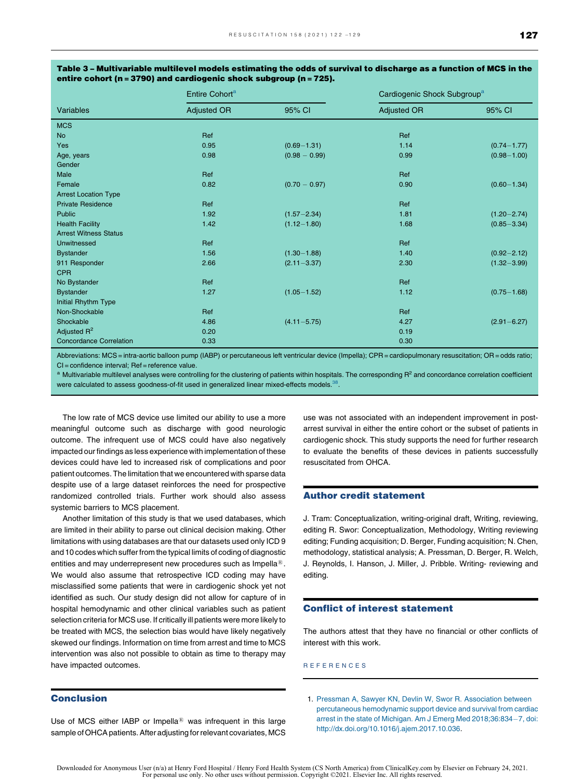|                                | Entire Cohort <sup>a</sup> |                 | Cardiogenic Shock Subgroup <sup>a</sup> |                 |  |  |
|--------------------------------|----------------------------|-----------------|-----------------------------------------|-----------------|--|--|
| Variables                      | <b>Adjusted OR</b>         | 95% CI          | <b>Adjusted OR</b>                      | 95% CI          |  |  |
| <b>MCS</b>                     |                            |                 |                                         |                 |  |  |
| <b>No</b>                      | Ref                        |                 | Ref                                     |                 |  |  |
| Yes                            | 0.95                       | $(0.69 - 1.31)$ | 1.14                                    | $(0.74 - 1.77)$ |  |  |
| Age, years                     | 0.98                       | $(0.98 - 0.99)$ | 0.99                                    | $(0.98 - 1.00)$ |  |  |
| Gender                         |                            |                 |                                         |                 |  |  |
| Male                           | Ref                        |                 | Ref                                     |                 |  |  |
| Female                         | 0.82                       | $(0.70 - 0.97)$ | 0.90                                    | $(0.60 - 1.34)$ |  |  |
| <b>Arrest Location Type</b>    |                            |                 |                                         |                 |  |  |
| <b>Private Residence</b>       | Ref                        |                 | Ref                                     |                 |  |  |
| Public                         | 1.92                       | $(1.57 - 2.34)$ | 1.81                                    | $(1.20 - 2.74)$ |  |  |
| <b>Health Facility</b>         | 1.42                       | $(1.12 - 1.80)$ | 1.68                                    | $(0.85 - 3.34)$ |  |  |
| <b>Arrest Witness Status</b>   |                            |                 |                                         |                 |  |  |
| Unwitnessed                    | Ref                        |                 | Ref                                     |                 |  |  |
| <b>Bystander</b>               | 1.56                       | $(1.30 - 1.88)$ | 1.40                                    | $(0.92 - 2.12)$ |  |  |
| 911 Responder                  | 2.66                       | $(2.11 - 3.37)$ | 2.30                                    | $(1.32 - 3.99)$ |  |  |
| <b>CPR</b>                     |                            |                 |                                         |                 |  |  |
| No Bystander                   | Ref                        |                 | Ref                                     |                 |  |  |
| <b>Bystander</b>               | 1.27                       | $(1.05 - 1.52)$ | 1.12                                    | $(0.75 - 1.68)$ |  |  |
| Initial Rhythm Type            |                            |                 |                                         |                 |  |  |
| Non-Shockable                  | Ref                        |                 | Ref                                     |                 |  |  |
| Shockable                      | 4.86                       | $(4.11 - 5.75)$ | 4.27                                    | $(2.91 - 6.27)$ |  |  |
| Adjusted $R^2$                 | 0.20                       |                 | 0.19                                    |                 |  |  |
| <b>Concordance Correlation</b> | 0.33                       |                 | 0.30                                    |                 |  |  |

<span id="page-7-0"></span>Table 3 – Multivariable multilevel models estimating the odds of survival to discharge as a function of MCS in the entire cohort (n =3790) and cardiogenic shock subgroup (n =725).

Abbreviations: MCS= intra-aortic balloon pump (IABP) or percutaneous left ventricular device (Impella); CPR = cardiopulmonary resuscitation; OR = odds ratio; CI = confidence interval; Ref = reference value.

<sup>a</sup> Multivariable multilevel analyses were controlling for the clustering of patients within hospitals. The corresponding  $R^2$  and concordance correlation coefficient were calculated to assess goodness-of-fit used in generalized linear mixed-effects models.<sup>[38](#page-9-0)</sup>

The low rate of MCS device use limited our ability to use a more meaningful outcome such as discharge with good neurologic outcome. The infrequent use of MCS could have also negatively impacted our findings as less experience with implementation of these devices could have led to increased risk of complications and poor patient outcomes. The limitation that we encountered with sparse data despite use of a large dataset reinforces the need for prospective randomized controlled trials. Further work should also assess systemic barriers to MCS placement.

Another limitation of this study is that we used databases, which are limited in their ability to parse out clinical decision making. Other limitations with using databases are that our datasets used only ICD 9 and 10 codes which suffer from the typical limits of coding of diagnostic entities and may underrepresent new procedures such as Impella $^{\circledR}$ . We would also assume that retrospective ICD coding may have misclassified some patients that were in cardiogenic shock yet not identified as such. Our study design did not allow for capture of in hospital hemodynamic and other clinical variables such as patient selection criteria for MCS use. If critically ill patients were more likely to be treated with MCS, the selection bias would have likely negatively skewed our findings. Information on time from arrest and time to MCS intervention was also not possible to obtain as time to therapy may have impacted outcomes.

#### Conclusion

Use of MCS either IABP or Impella $@$  was infrequent in this large sample of OHCA patients. After adjusting for relevant covariates, MCS use was not associated with an independent improvement in postarrest survival in either the entire cohort or the subset of patients in cardiogenic shock. This study supports the need for further research to evaluate the benefits of these devices in patients successfully resuscitated from OHCA.

#### Author credit statement

J. Tram: Conceptualization, writing-original draft, Writing, reviewing, editing R. Swor: Conceptualization, Methodology, Writing reviewing editing; Funding acquisition; D. Berger, Funding acquisition; N. Chen, methodology, statistical analysis; A. Pressman, D. Berger, R. Welch, J. Reynolds, I. Hanson, J. Miller, J. Pribble. Writing- reviewing and editing.

#### Conflict of interest statement

The authors attest that they have no financial or other conflicts of interest with this work.

R E F E R E N C E S

1. Pressman A, Sawyer KN, Devlin W, Swor R. [Association](http://refhub.elsevier.com/S0300-9572(20)30578-5/sbref0005) between percutaneous [hemodynamic](http://refhub.elsevier.com/S0300-9572(20)30578-5/sbref0005) support device and survival from cardiac arrest in the state of Michigan. Am J Emerg Med [2018;36:834](http://refhub.elsevier.com/S0300-9572(20)30578-5/sbref0005)-7, doi: [http://dx.doi.org/10.1016/j.ajem.2017.10.036.](http://dx.doi.org/10.1016/j.ajem.2017.10.036)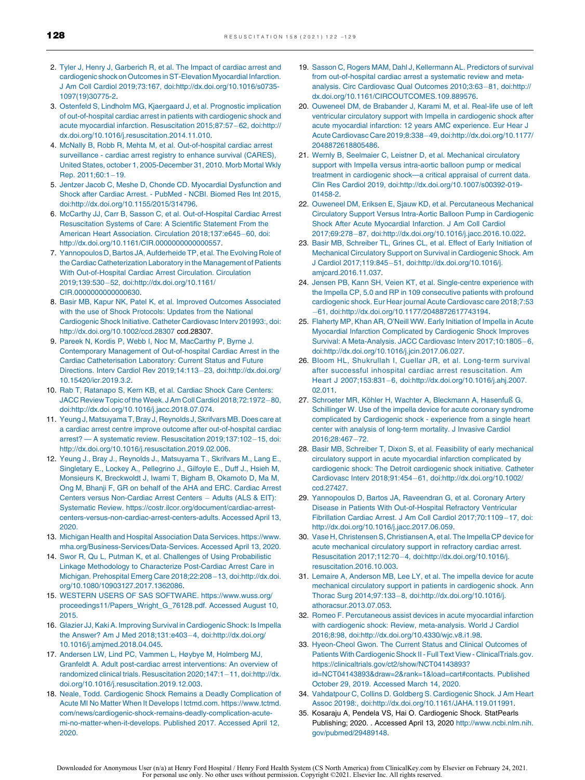- <span id="page-8-0"></span>2. Tyler J, Henry J, [Garberich](http://refhub.elsevier.com/S0300-9572(20)30578-5/sbref0010) R, et al. The Impact of cardiac arrest and cardiogenic shock on Outcomes in ST-Elevation Myocardial Infarction. J Am Coll Cardiol 2019;73:167, [doi:http://dx.doi.org/10.1016/s0735-](http://refhub.elsevier.com/S0300-9572(20)30578-5/sbref0010) [1097\(19\)30775-2](http://dx.doi.org/10.1016/s0735-1097(19)30775-2).
- 3. Ostenfeld S, Lindholm MG, [Kjaergaard](http://refhub.elsevier.com/S0300-9572(20)30578-5/sbref0015) J, et al. Prognostic implication of [out-of-hospital](http://refhub.elsevier.com/S0300-9572(20)30578-5/sbref0015) cardiac arrest in patients with cardiogenic shock and acute myocardial infarction. [Resuscitation](http://refhub.elsevier.com/S0300-9572(20)30578-5/sbref0015) 2015;87:57-62, doi:http:// [dx.doi.org/10.1016/j.resuscitation.2014.11.010](http://dx.doi.org/10.1016/j.resuscitation.2014.11.010).
- 4. McNally B, Robb R, Mehta M, et al. [Out-of-hospital](http://refhub.elsevier.com/S0300-9572(20)30578-5/sbref0020) cardiac arrest [surveillance](http://refhub.elsevier.com/S0300-9572(20)30578-5/sbref0020) - cardiac arrest registry to enhance survival (CARES), United States, october 1, [2005-December](http://refhub.elsevier.com/S0300-9572(20)30578-5/sbref0020) 31, 2010. Morb Mortal Wkly Rep.  $2011:60:1-19$ .
- 5. Jentzer Jacob C, Meshe D, Chonde CD. Myocardial [Dysfunction](http://refhub.elsevier.com/S0300-9572(20)30578-5/sbref0025) and Shock after Cardiac Arrest. - [PubMed](http://refhub.elsevier.com/S0300-9572(20)30578-5/sbref0025) - NCBI. Biomed Res Int 2015, [doi:http://dx.doi.org/10.1155/2015/314796](http://refhub.elsevier.com/S0300-9572(20)30578-5/sbref0025).
- 6. McCarthy JJ, Carr B, Sasson C, et al. [Out-of-Hospital](http://refhub.elsevier.com/S0300-9572(20)30578-5/sbref0030) Cardiac Arrest [Resuscitation](http://refhub.elsevier.com/S0300-9572(20)30578-5/sbref0030) Systems of Care: A Scientific Statement From the American Heart Association. Circulation [2018;137:e645](http://refhub.elsevier.com/S0300-9572(20)30578-5/sbref0030)-60, doi: [http://dx.doi.org/10.1161/CIR.0000000000000557.](http://dx.doi.org/10.1161/CIR.0000000000000557)
- 7. Yannopoulos D, Bartos JA, Aufderheide TP, et al. The Evolving Role of the Cardiac [Catheterization](http://refhub.elsevier.com/S0300-9572(20)30578-5/sbref0035) Laboratory in the Management of Patients With [Out-of-Hospital](http://refhub.elsevier.com/S0300-9572(20)30578-5/sbref0035) Cardiac Arrest Circulation. Circulation 2019;139:530-52, [doi:http://dx.doi.org/10.1161/](http://refhub.elsevier.com/S0300-9572(20)30578-5/sbref0035) [CIR.0000000000000630](http://dx.doi.org/10.1161/CIR.0000000000000630).
- 8. Basir MB, Kapur NK, Patel K, et al. Improved Outcomes [Associated](http://refhub.elsevier.com/S0300-9572(20)30578-5/sbref0040) with the use of Shock [Protocols:](http://refhub.elsevier.com/S0300-9572(20)30578-5/sbref0040) Updates from the National [Cardiogenic](http://refhub.elsevier.com/S0300-9572(20)30578-5/sbref0040) Shock Initiative. Catheter Cardiovasc Interv 201993:, doi: <http://dx.doi.org/10.1002/ccd.28307> ccd.28307.
- 9. Pareek N, Kordis P, Webb I, Noc M, [MacCarthy](http://refhub.elsevier.com/S0300-9572(20)30578-5/sbref0045) P, Byrne J. Contemporary Management of [Out-of-hospital](http://refhub.elsevier.com/S0300-9572(20)30578-5/sbref0045) Cardiac Arrest in the Cardiac [Catheterisation](http://refhub.elsevier.com/S0300-9572(20)30578-5/sbref0045) Laboratory: Current Status and Future Directions. Interv Cardiol Rev 2019;14:113-23, [doi:http://dx.doi.org/](http://refhub.elsevier.com/S0300-9572(20)30578-5/sbref0045) [10.15420/icr.2019.3.2](http://dx.doi.org/10.15420/icr.2019.3.2).
- 10. Rab T, [Ratanapo](http://refhub.elsevier.com/S0300-9572(20)30578-5/sbref0050) S, Kern KB, et al. Cardiac Shock Care Centers: JACC Review Topic of the Week. J Am Coll Cardiol [2018;72:1972](http://refhub.elsevier.com/S0300-9572(20)30578-5/sbref0050)-80, [doi:http://dx.doi.org/10.1016/j.jacc.2018.07.074](http://refhub.elsevier.com/S0300-9572(20)30578-5/sbref0050).
- 11. Yeung J, [Matsuyama](http://refhub.elsevier.com/S0300-9572(20)30578-5/sbref0055) T, Bray J, Reynolds J, Skrifvars MB. Does care at a cardiac arrest centre improve outcome after [out-of-hospital](http://refhub.elsevier.com/S0300-9572(20)30578-5/sbref0055) cardiac arrest? — A systematic review. Resuscitation [2019;137:102](http://refhub.elsevier.com/S0300-9572(20)30578-5/sbref0055)-15, doi: [http://dx.doi.org/10.1016/j.resuscitation.2019.02.006.](http://dx.doi.org/10.1016/j.resuscitation.2019.02.006)
- 12. Yeung J., Bray J., Reynolds J., [Matsuyama](http://refhub.elsevier.com/S0300-9572(20)30578-5/oref0060) T., Skrifvars M., Lang E., Singletary E., Lockey A., [Pellegrino](http://refhub.elsevier.com/S0300-9572(20)30578-5/oref0060) J., Gilfoyle E., Duff J., Hsieh M, Monsieurs K, [Breckwoldt](http://refhub.elsevier.com/S0300-9572(20)30578-5/oref0060) J, Iwami T, Bigham B, Okamoto D, Ma M, Ong M, Bhanji F, GR on behalf of the AHA and ERC. [Cardiac](http://refhub.elsevier.com/S0300-9572(20)30578-5/oref0060) Arrest Centers versus [Non-Cardiac](http://refhub.elsevier.com/S0300-9572(20)30578-5/oref0060) Arrest Centers - Adults (ALS & EIT): Systematic Review. [https://costr.ilcor.org/document/cardiac-arrest](http://refhub.elsevier.com/S0300-9572(20)30578-5/oref0060)[centers-versus-non-cardiac-arrest-centers-adults.](http://refhub.elsevier.com/S0300-9572(20)30578-5/oref0060) Accessed April 13, [2020.](http://refhub.elsevier.com/S0300-9572(20)30578-5/oref0060)
- 13. Michigan Health and Hospital Association Data Services. [https://www.](http://refhub.elsevier.com/S0300-9572(20)30578-5/oref0065) [mha.org/Business-Services/Data-Services.](http://refhub.elsevier.com/S0300-9572(20)30578-5/oref0065) Accessed April 13, 2020.
- 14. Swor R, Qu L, Putman K, et al. Challenges of Using [Probabilistic](http://refhub.elsevier.com/S0300-9572(20)30578-5/sbref0070) Linkage Methodology to Characterize [Post-Cardiac](http://refhub.elsevier.com/S0300-9572(20)30578-5/sbref0070) Arrest Care in Michigan. Prehospital Emerg Care 2018;22:208-13, [doi:http://dx.doi.](http://refhub.elsevier.com/S0300-9572(20)30578-5/sbref0070) [org/10.1080/10903127.2017.1362086.](http://dx.doi.org/10.1080/10903127.2017.1362086)
- 15. WESTERN USERS OF SAS SOFTWARE. [https://www.wuss.org/](http://refhub.elsevier.com/S0300-9572(20)30578-5/oref0075) [proceedings11/Papers\\_Wright\\_G\\_76128.pdf.](http://refhub.elsevier.com/S0300-9572(20)30578-5/oref0075) Accessed August 10, [2015.](http://refhub.elsevier.com/S0300-9572(20)30578-5/oref0075)
- 16. Glazier JJ, Kaki A. Improving Survival in [Cardiogenic](http://refhub.elsevier.com/S0300-9572(20)30578-5/sbref0080) Shock: Is Impella the Answer? Am J Med 2018;131:e403-4, [doi:http://dx.doi.org/](http://refhub.elsevier.com/S0300-9572(20)30578-5/sbref0080) [10.1016/j.amjmed.2018.04.045.](http://dx.doi.org/10.1016/j.amjmed.2018.04.045)
- 17. Andersen LW, Lind PC, Vammen L, Høybye M, [Holmberg](http://refhub.elsevier.com/S0300-9572(20)30578-5/sbref0085) MJ, Granfeldt A. Adult post-cardiac arrest [interventions:](http://refhub.elsevier.com/S0300-9572(20)30578-5/sbref0085) An overview of randomized clinical trials. [Resuscitation](http://refhub.elsevier.com/S0300-9572(20)30578-5/sbref0085) 2020;147:1-11, doi:http://dx. [doi.org/10.1016/j.resuscitation.2019.12.003](http://dx.doi.org/10.1016/j.resuscitation.2019.12.003).
- 18. Neale, Todd. Cardiogenic Shock Remains a Deadly [Complication](http://refhub.elsevier.com/S0300-9572(20)30578-5/oref0090) of Acute MI No Matter When It Develops | tctmd.com. [https://www.tctmd.](http://refhub.elsevier.com/S0300-9572(20)30578-5/oref0090) [com/news/cardiogenic-shock-remains-deadly-complication-acute](http://refhub.elsevier.com/S0300-9572(20)30578-5/oref0090)[mi-no-matter-when-it-develops.](http://refhub.elsevier.com/S0300-9572(20)30578-5/oref0090) Published 2017. Accessed April 12, [2020.](http://refhub.elsevier.com/S0300-9572(20)30578-5/oref0090)
- 19. Sasson C, Rogers MAM, Dahl J, [Kellermann](http://refhub.elsevier.com/S0300-9572(20)30578-5/sbref0095) AL. Predictors of survival from [out-of-hospital](http://refhub.elsevier.com/S0300-9572(20)30578-5/sbref0095) cardiac arrest a systematic review and meta-analysis. Circ [Cardiovasc](http://refhub.elsevier.com/S0300-9572(20)30578-5/sbref0095) Qual Outcomes 2010;3:63-81, doi:http:// [dx.doi.org/10.1161/CIRCOUTCOMES.109.889576.](http://dx.doi.org/10.1161/CIRCOUTCOMES.109.889576)
- 20. Ouweneel DM, de [Brabander](http://refhub.elsevier.com/S0300-9572(20)30578-5/sbref0100) J, Karami M, et al. Real-life use of left ventricular circulatory support with Impella in [cardiogenic](http://refhub.elsevier.com/S0300-9572(20)30578-5/sbref0100) shock after acute myocardial infarction: 12 years AMC [experience.](http://refhub.elsevier.com/S0300-9572(20)30578-5/sbref0100) Eur Hear J Acute Cardiovasc Care 2019;8:338-49, [doi:http://dx.doi.org/10.1177/](http://refhub.elsevier.com/S0300-9572(20)30578-5/sbref0100) [2048872618805486](http://dx.doi.org/10.1177/2048872618805486).
- 21. Wernly B, Seelmaier C, Leistner D, et al. [Mechanical](http://refhub.elsevier.com/S0300-9572(20)30578-5/sbref0105) circulatory support with Impella versus [intra-aortic](http://refhub.elsevier.com/S0300-9572(20)30578-5/sbref0105) balloon pump or medical treatment in [cardiogenic](http://refhub.elsevier.com/S0300-9572(20)30578-5/sbref0105) shock—a critical appraisal of current data. Clin Res Cardiol 2019, [doi:http://dx.doi.org/10.1007/s00392-019-](http://refhub.elsevier.com/S0300-9572(20)30578-5/sbref0105) [01458-2](http://dx.doi.org/10.1007/s00392-019-01458-2).
- 22. Ouweneel DM, Eriksen E, Sjauw KD, et al. [Percutaneous](http://refhub.elsevier.com/S0300-9572(20)30578-5/sbref0110) Mechanical Circulatory Support Versus Intra-Aortic Balloon Pump in [Cardiogenic](http://refhub.elsevier.com/S0300-9572(20)30578-5/sbref0110) Shock After Acute [Myocardial](http://refhub.elsevier.com/S0300-9572(20)30578-5/sbref0110) Infarction. J Am Coll Cardiol 2017;69:278-87, [doi:http://dx.doi.org/10.1016/j.jacc.2016.10.022.](http://refhub.elsevier.com/S0300-9572(20)30578-5/sbref0110)
- 23. Basir MB, [Schreiber](http://refhub.elsevier.com/S0300-9572(20)30578-5/sbref0115) TL, Grines CL, et al. Effect of Early Initiation of Mechanical Circulatory Support on Survival in [Cardiogenic](http://refhub.elsevier.com/S0300-9572(20)30578-5/sbref0115) Shock. Am J Cardiol 2017:119:845-51, [doi:http://dx.doi.org/10.1016/j.](http://refhub.elsevier.com/S0300-9572(20)30578-5/sbref0115) [amjcard.2016.11.037](http://dx.doi.org/10.1016/j.amjcard.2016.11.037).
- 24. Jensen PB, Kann SH, Veien KT, et al. [Single-centre](http://refhub.elsevier.com/S0300-9572(20)30578-5/sbref0120) experience with the Impella CP, 5.0 and RP in 109 [consecutive](http://refhub.elsevier.com/S0300-9572(20)30578-5/sbref0120) patients with profound cardiogenic shock. Eur Hear journal Acute Cardiovasc care 2018;7:53 61, [doi:http://dx.doi.org/10.1177/2048872617743194](http://refhub.elsevier.com/S0300-9572(20)30578-5/sbref0120).
- 25. Flaherty MP, Khan AR, O'Neill WW. Early [Initiation](http://refhub.elsevier.com/S0300-9572(20)30578-5/sbref0125) of Impella in Acute Myocardial Infarction [Complicated](http://refhub.elsevier.com/S0300-9572(20)30578-5/sbref0125) by Cardiogenic Shock Improves Survival: A [Meta-Analysis.](http://refhub.elsevier.com/S0300-9572(20)30578-5/sbref0125) JACC Cardiovasc Interv 2017;10:1805-6, [doi:http://dx.doi.org/10.1016/j.jcin.2017.06.027](http://refhub.elsevier.com/S0300-9572(20)30578-5/sbref0125).
- 26. Bloom HL, [Shukrullah](http://refhub.elsevier.com/S0300-9572(20)30578-5/sbref0130) I, Cuellar JR, et al. Long-term survival after successful inhospital cardiac arrest [resuscitation.](http://refhub.elsevier.com/S0300-9572(20)30578-5/sbref0130) Am Heart J 2007;153:831-6, [doi:http://dx.doi.org/10.1016/j.ahj.2007.](http://refhub.elsevier.com/S0300-9572(20)30578-5/sbref0130) [02.011.](http://dx.doi.org/10.1016/j.ahj.2007.02.011)
- 27. Schroeter MR, Köhler H, Wachter A, [Bleckmann](http://refhub.elsevier.com/S0300-9572(20)30578-5/sbref0135) A, Hasenfuß G, [Schillinger](http://refhub.elsevier.com/S0300-9572(20)30578-5/sbref0135) W. Use of the impella device for acute coronary syndrome complicated by [Cardiogenic](http://refhub.elsevier.com/S0300-9572(20)30578-5/sbref0135) shock - experience from a single heart center with analysis of [long-term](http://refhub.elsevier.com/S0300-9572(20)30578-5/sbref0135) mortality. J Invasive Cardiol [2016;28:467](http://refhub.elsevier.com/S0300-9572(20)30578-5/sbref0135)-72.
- 28. Basir MB, Schreiber T, Dixon S, et al. Feasibility of early [mechanical](http://refhub.elsevier.com/S0300-9572(20)30578-5/sbref0140) circulatory support in acute myocardial infarction [complicated](http://refhub.elsevier.com/S0300-9572(20)30578-5/sbref0140) by cardiogenic shock: The Detroit [cardiogenic](http://refhub.elsevier.com/S0300-9572(20)30578-5/sbref0140) shock initiative. Catheter Cardiovasc Interv 2018;91:454-61, [doi:http://dx.doi.org/10.1002/](http://refhub.elsevier.com/S0300-9572(20)30578-5/sbref0140) [ccd.27427](http://dx.doi.org/10.1002/ccd.27427).
- 29. [Yannopoulos](http://refhub.elsevier.com/S0300-9572(20)30578-5/sbref0145) D, Bartos JA, Raveendran G, et al. Coronary Artery Disease in Patients With [Out-of-Hospital](http://refhub.elsevier.com/S0300-9572(20)30578-5/sbref0145) Refractory Ventricular Fibrillation Cardiac Arrest. J Am Coll Cardiol [2017;70:1109](http://refhub.elsevier.com/S0300-9572(20)30578-5/sbref0145)-17, doi: <http://dx.doi.org/10.1016/j.jacc.2017.06.059>.
- 30. Vase H, Christensen S, Christiansen A, et al. The Impella CP device for acute [mechanical](http://refhub.elsevier.com/S0300-9572(20)30578-5/sbref0150) circulatory support in refractory cardiac arrest. Resuscitation 2017;112:70-4, [doi:http://dx.doi.org/10.1016/j.](http://refhub.elsevier.com/S0300-9572(20)30578-5/sbref0150) [resuscitation.2016.10.003](http://dx.doi.org/10.1016/j.resuscitation.2016.10.003).
- 31. Lemaire A, [Anderson](http://refhub.elsevier.com/S0300-9572(20)30578-5/sbref0155) MB, Lee LY, et al. The impella device for acute mechanical circulatory support in patients in [cardiogenic](http://refhub.elsevier.com/S0300-9572(20)30578-5/sbref0155) shock. Ann Thorac Surg 2014;97:133-8, [doi:http://dx.doi.org/10.1016/j.](http://refhub.elsevier.com/S0300-9572(20)30578-5/sbref0155) [athoracsur.2013.07.053.](http://dx.doi.org/10.1016/j.athoracsur.2013.07.053)
- 32. Romeo F. [Percutaneous](http://refhub.elsevier.com/S0300-9572(20)30578-5/sbref0160) assist devices in acute myocardial infarction with cardiogenic shock: Review, [meta-analysis.](http://refhub.elsevier.com/S0300-9572(20)30578-5/sbref0160) World J Cardiol 2016;8:98, [doi:http://dx.doi.org/10.4330/wjc.v8.i1.98](http://refhub.elsevier.com/S0300-9572(20)30578-5/sbref0160).
- 33. [Hyeon-Cheol](http://refhub.elsevier.com/S0300-9572(20)30578-5/oref0165) Gwon. The Current Status and Clinical Outcomes of Patients With [CardiogenicShock](http://refhub.elsevier.com/S0300-9572(20)30578-5/oref0165) II- Full Text View - ClinicalTrials.gov. [https://clinicaltrials.gov/ct2/show/NCT04143893?](http://refhub.elsevier.com/S0300-9572(20)30578-5/oref0165) [id=NCT04143893&draw=2&rank=1&load=cart#contacts.](http://refhub.elsevier.com/S0300-9572(20)30578-5/oref0165) Published October 29, 2019. [Accessed](http://refhub.elsevier.com/S0300-9572(20)30578-5/oref0165) March 14, 2020.
- 34. Vahdatpour C, Collins D. Goldberg S. [Cardiogenic](http://refhub.elsevier.com/S0300-9572(20)30578-5/sbref0170) Shock. J Am Heart Assoc 20198:, [doi:http://dx.doi.org/10.1161/JAHA.119.011991.](http://refhub.elsevier.com/S0300-9572(20)30578-5/sbref0170)
- 35. Kosaraju A, Pendela VS, Hai O. Cardiogenic Shock. StatPearls Publishing; 2020. . Accessed April 13, 2020 [http://www.ncbi.nlm.nih.](http://www.ncbi.nlm.nih.gov/pubmed/29489148) [gov/pubmed/29489148](http://www.ncbi.nlm.nih.gov/pubmed/29489148).